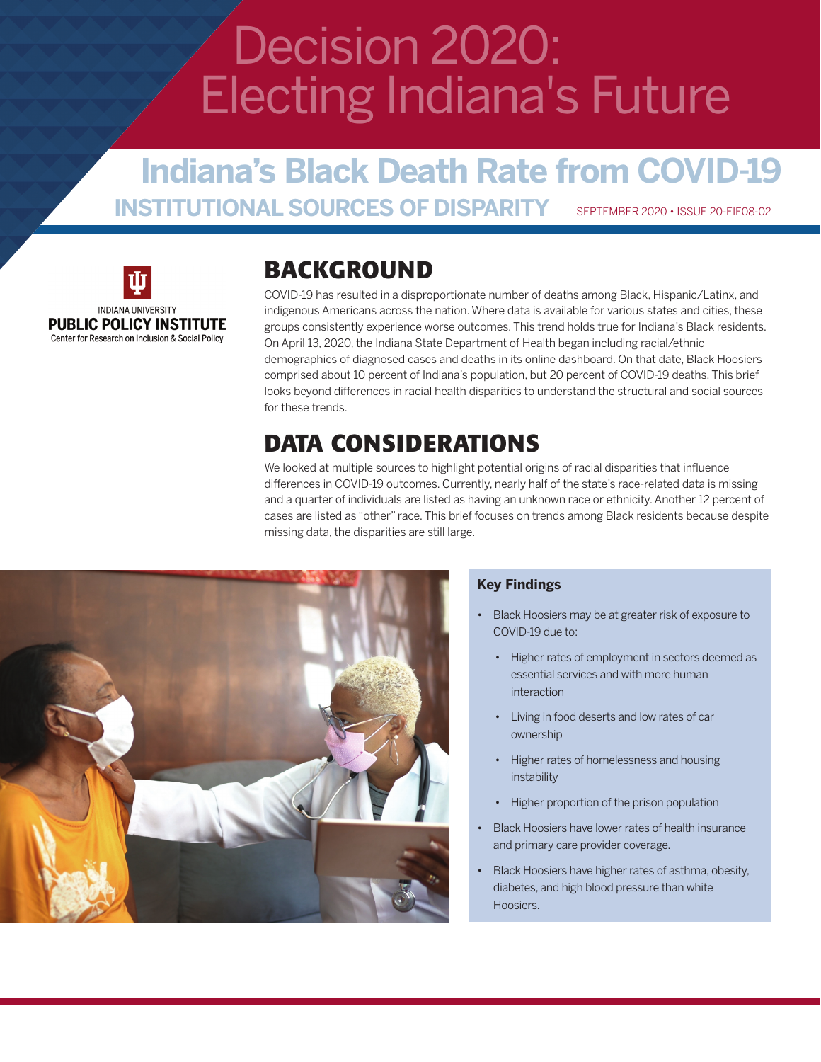# Decision 2020: Electing Indiana's Future

### **Indiana's Black Death Rate from COVID-19 INSTITUTIONAL SOURCES OF DISPARITY** SEPTEMBER 2020 • ISSUE 20-EIF08-02



### **BACKGROUND**

COVID-19 has resulted in a disproportionate number of deaths among Black, Hispanic/Latinx, and indigenous Americans across the nation. Where data is available for various states and cities, these groups consistently experience worse outcomes. This trend holds true for Indiana's Black residents. On April 13, 2020, the Indiana State Department of Health began including racial/ethnic demographics of diagnosed cases and deaths in its online dashboard. On that date, Black Hoosiers comprised about 10 percent of Indiana's population, but 20 percent of COVID-19 deaths. This brief looks beyond differences in racial health disparities to understand the structural and social sources for these trends.

### **DATA CONSIDERATIONS**

We looked at multiple sources to highlight potential origins of racial disparities that influence differences in COVID-19 outcomes. Currently, nearly half of the state's race-related data is missing and a quarter of individuals are listed as having an unknown race or ethnicity. Another 12 percent of cases are listed as "other" race. This brief focuses on trends among Black residents because despite missing data, the disparities are still large.



#### **Key Findings**

- Black Hoosiers may be at greater risk of exposure to COVID-19 due to:
	- Higher rates of employment in sectors deemed as essential services and with more human interaction
	- Living in food deserts and low rates of car ownership
	- Higher rates of homelessness and housing instability
	- Higher proportion of the prison population
- Black Hoosiers have lower rates of health insurance and primary care provider coverage.
- Black Hoosiers have higher rates of asthma, obesity, diabetes, and high blood pressure than white Hoosiers.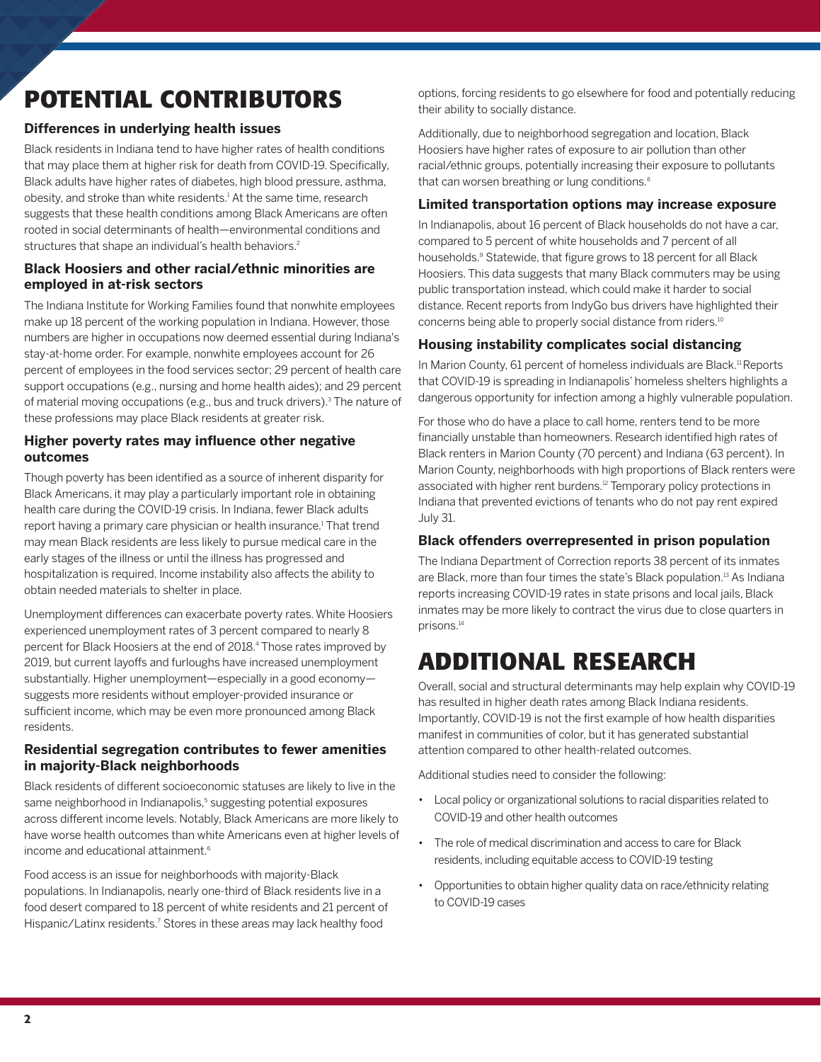## **POTENTIAL CONTRIBUTORS**

#### **Differences in underlying health issues**

Black residents in Indiana tend to have higher rates of health conditions that may place them at higher risk for death from COVID-19. Specifically, Black adults have higher rates of diabetes, high blood pressure, asthma, obesity, and stroke than white residents.<sup>1</sup> At the same time, research suggests that these health conditions among Black Americans are often rooted in social determinants of health—environmental conditions and structures that shape an individual's health behaviors.<sup>2</sup>

#### **Black Hoosiers and other racial/ethnic minorities are employed in at-risk sectors**

The Indiana Institute for Working Families found that nonwhite employees make up 18 percent of the working population in Indiana. However, those numbers are higher in occupations now deemed essential during Indiana's stay-at-home order. For example, nonwhite employees account for 26 percent of employees in the food services sector; 29 percent of health care support occupations (e.g., nursing and home health aides); and 29 percent of material moving occupations (e.g., bus and truck drivers).<sup>3</sup> The nature of these professions may place Black residents at greater risk.

#### **Higher poverty rates may influence other negative outcomes**

Though poverty has been identified as a source of inherent disparity for Black Americans, it may play a particularly important role in obtaining health care during the COVID-19 crisis. In Indiana, fewer Black adults report having a primary care physician or health insurance.<sup>1</sup> That trend may mean Black residents are less likely to pursue medical care in the early stages of the illness or until the illness has progressed and hospitalization is required. Income instability also affects the ability to obtain needed materials to shelter in place.

Unemployment differences can exacerbate poverty rates. White Hoosiers experienced unemployment rates of 3 percent compared to nearly 8 percent for Black Hoosiers at the end of 2018.<sup>4</sup> Those rates improved by 2019, but current layoffs and furloughs have increased unemployment substantially. Higher unemployment—especially in a good economy suggests more residents without employer-provided insurance or sufficient income, which may be even more pronounced among Black residents.

#### **Residential segregation contributes to fewer amenities in majority-Black neighborhoods**

Black residents of different socioeconomic statuses are likely to live in the same neighborhood in Indianapolis,<sup>5</sup> suggesting potential exposures across different income levels. Notably, Black Americans are more likely to have worse health outcomes than white Americans even at higher levels of income and educational attainment.<sup>6</sup>

Food access is an issue for neighborhoods with majority-Black populations. In Indianapolis, nearly one-third of Black residents live in a food desert compared to 18 percent of white residents and 21 percent of Hispanic/Latinx residents.<sup>7</sup> Stores in these areas may lack healthy food

options, forcing residents to go elsewhere for food and potentially reducing their ability to socially distance.

Additionally, due to neighborhood segregation and location, Black Hoosiers have higher rates of exposure to air pollution than other racial/ethnic groups, potentially increasing their exposure to pollutants that can worsen breathing or lung conditions.<sup>8</sup>

#### **Limited transportation options may increase exposure**

In Indianapolis, about 16 percent of Black households do not have a car, compared to 5 percent of white households and 7 percent of all households.<sup>9</sup> Statewide, that figure grows to 18 percent for all Black Hoosiers. This data suggests that many Black commuters may be using public transportation instead, which could make it harder to social distance. Recent reports from IndyGo bus drivers have highlighted their concerns being able to properly social distance from riders.10

#### **Housing instability complicates social distancing**

In Marion County, 61 percent of homeless individuals are Black.<sup>11</sup> Reports that COVID-19 is spreading in Indianapolis' homeless shelters highlights a dangerous opportunity for infection among a highly vulnerable population.

For those who do have a place to call home, renters tend to be more financially unstable than homeowners. Research identified high rates of Black renters in Marion County (70 percent) and Indiana (63 percent). In Marion County, neighborhoods with high proportions of Black renters were associated with higher rent burdens.<sup>12</sup> Temporary policy protections in Indiana that prevented evictions of tenants who do not pay rent expired July 31.

#### **Black offenders overrepresented in prison population**

The Indiana Department of Correction reports 38 percent of its inmates are Black, more than four times the state's Black population.<sup>13</sup> As Indiana reports increasing COVID-19 rates in state prisons and local jails, Black inmates may be more likely to contract the virus due to close quarters in prisons.<sup>14</sup>

### **ADDITIONAL RESEARCH**

Overall, social and structural determinants may help explain why COVID-19 has resulted in higher death rates among Black Indiana residents. Importantly, COVID-19 is not the first example of how health disparities manifest in communities of color, but it has generated substantial attention compared to other health-related outcomes.

Additional studies need to consider the following:

- Local policy or organizational solutions to racial disparities related to COVID-19 and other health outcomes
- The role of medical discrimination and access to care for Black residents, including equitable access to COVID-19 testing
- Opportunities to obtain higher quality data on race/ethnicity relating to COVID-19 cases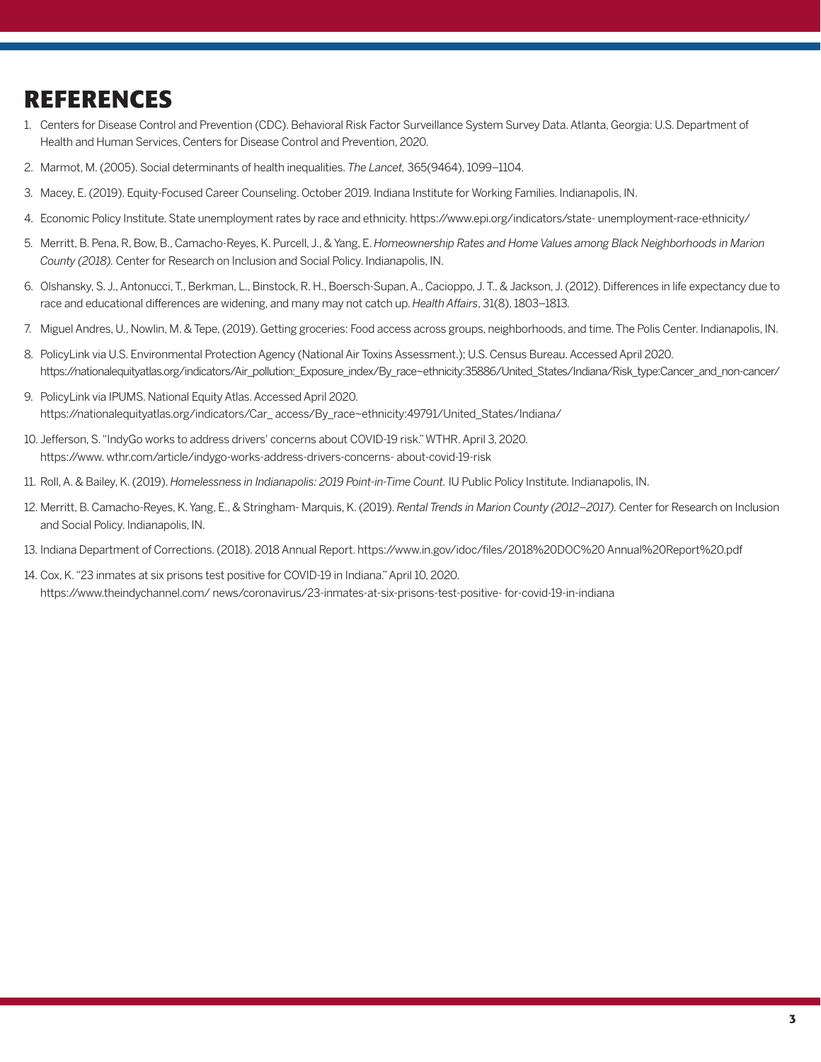### **REFERENCES**

- 1. Centers for Disease Control and Prevention (CDC). Behavioral Risk Factor Surveillance System Survey Data. Atlanta, Georgia: U.S. Department of Health and Human Services, Centers for Disease Control and Prevention, 2020.
- 2. Marmot, M. (2005). Social determinants of health inequalities. *The Lancet,* 365(9464), 1099–1104.
- 3. Macey, E. (2019). Equity-Focused Career Counseling. October 2019. Indiana Institute for Working Families. Indianapolis, IN.
- 4. Economic Policy Institute. State unemployment rates by race and ethnicity. https://www.epi.org/indicators/state- unemployment-race-ethnicity/
- 5. Merritt, B. Pena, R, Bow, B., Camacho-Reyes, K. Purcell, J., & Yang, E. *Homeownership Rates and Home Values among Black Neighborhoods in Marion County (2018).* Center for Research on Inclusion and Social Policy. Indianapolis, IN.
- 6. Olshansky, S. J., Antonucci, T., Berkman, L., Binstock, R. H., Boersch-Supan, A., Cacioppo, J. T., & Jackson, J. (2012). Differences in life expectancy due to race and educational differences are widening, and many may not catch up. *Health Affairs*, 31(8), 1803–1813.
- 7. Miguel Andres, U., Nowlin, M. & Tepe, (2019). Getting groceries: Food access across groups, neighborhoods, and time. The Polis Center. Indianapolis, IN.
- 8. PolicyLink via U.S. Environmental Protection Agency (National Air Toxins Assessment.); U.S. Census Bureau. Accessed April 2020. https://nationalequityatlas.org/indicators/Air\_pollution:\_Exposure\_index/By\_race~ethnicity:35886/United\_States/Indiana/Risk\_type:Cancer\_and\_non-cancer/
- 9. PolicyLink via IPUMS. National Equity Atlas. Accessed April 2020. https://nationalequityatlas.org/indicators/Car\_ access/By\_race~ethnicity:49791/United\_States/Indiana/
- 10. Jefferson, S. "IndyGo works to address drivers' concerns about COVID-19 risk." WTHR. April 3, 2020. https://www. wthr.com/article/indygo-works-address-drivers-concerns- about-covid-19-risk
- 11. Roll, A. & Bailey, K. (2019). *Homelessness in Indianapolis: 2019 Point-in-Time Count.* IU Public Policy Institute. Indianapolis, IN.
- 12. Merritt, B. Camacho-Reyes, K. Yang, E., & Stringham- Marquis, K. (2019). *Rental Trends in Marion County (2012–2017).* Center for Research on Inclusion and Social Policy. Indianapolis, IN.
- 13. Indiana Department of Corrections. (2018). 2018 Annual Report. https://www.in.gov/idoc/files/2018%20DOC%20 Annual%20Report%20.pdf
- 14. Cox, K. "23 inmates at six prisons test positive for COVID-19 in Indiana." April 10, 2020. https://www.theindychannel.com/ news/coronavirus/23-inmates-at-six-prisons-test-positive- for-covid-19-in-indiana